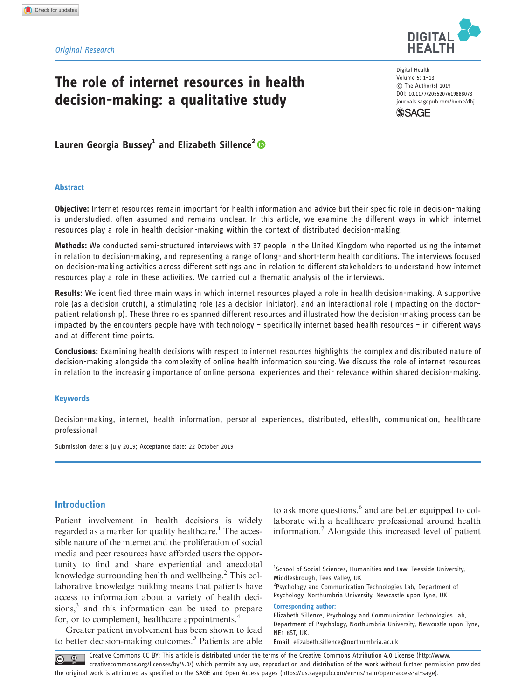

# The role of internet resources in health decision-making: a qualitative study

Digital Health Volume 5: 1–13 C The Author(s) 2019 [DOI: 10.1177/2055207619888073](http://dx.doi.org/10.1177/2055207619888073) <journals.sagepub.com/home/dhj>



Lauren Georgia Bussey<sup>1</sup> and Elizabeth Sillence<sup>2</sup>

#### Abstract

Objective: Internet resources remain important for health information and advice but their specific role in decision-making is understudied, often assumed and remains unclear. In this article, we examine the different ways in which internet resources play a role in health decision-making within the context of distributed decision-making.

Methods: We conducted semi-structured interviews with 37 people in the United Kingdom who reported using the internet in relation to decision-making, and representing a range of long- and short-term health conditions. The interviews focused on decision-making activities across different settings and in relation to different stakeholders to understand how internet resources play a role in these activities. We carried out a thematic analysis of the interviews.

Results: We identified three main ways in which internet resources played a role in health decision-making. A supportive role (as a decision crutch), a stimulating role (as a decision initiator), and an interactional role (impacting on the doctor– patient relationship). These three roles spanned different resources and illustrated how the decision-making process can be impacted by the encounters people have with technology – specifically internet based health resources – in different ways and at different time points.

Conclusions: Examining health decisions with respect to internet resources highlights the complex and distributed nature of decision-making alongside the complexity of online health information sourcing. We discuss the role of internet resources in relation to the increasing importance of online personal experiences and their relevance within shared decision-making.

#### Keywords

Decision-making, internet, health information, personal experiences, distributed, eHealth, communication, healthcare professional

Submission date: 8 July 2019; Acceptance date: 22 October 2019

# Introduction

Patient involvement in health decisions is widely regarded as a marker for quality healthcare.<sup>1</sup> The accessible nature of the internet and the proliferation of social media and peer resources have afforded users the opportunity to find and share experiential and anecdotal knowledge surrounding health and wellbeing.<sup>2</sup> This collaborative knowledge building means that patients have access to information about a variety of health decisions,<sup>3</sup> and this information can be used to prepare for, or to complement, healthcare appointments.<sup>4</sup>

Greater patient involvement has been shown to lead to better decision-making outcomes.<sup>5</sup> Patients are able to ask more questions,<sup>6</sup> and are better equipped to collaborate with a healthcare professional around health information.<sup>7</sup> Alongside this increased level of patient

Corresponding author:

Email: [elizabeth.sillence@northumbria.ac.uk](mailto:elizabeth.sillence@northumbria.ac.uk)

Creative Commons CC BY: This article is distributed under the terms of the Creative Commons Attribution 4.0 License (http://www. creativecommons.org/licenses/by/4.0/) which permits any use, reproduction and distribution of the work without further permission provided the original work is attributed as specified on the SAGE and Open Access pages (https://us.sagepub.com/en-us/nam/open-access-at-sage).

<sup>&</sup>lt;sup>1</sup>School of Social Sciences, Humanities and Law, Teesside University, Middlesbrough, Tees Valley, UK

<sup>&</sup>lt;sup>2</sup>Psychology and Communication Technologies Lab, Department of Psychology, Northumbria University, Newcastle upon Tyne, UK

Elizabeth Sillence, Psychology and Communication Technologies Lab, Department of Psychology, Northumbria University, Newcastle upon Tyne, NE1 8ST, UK.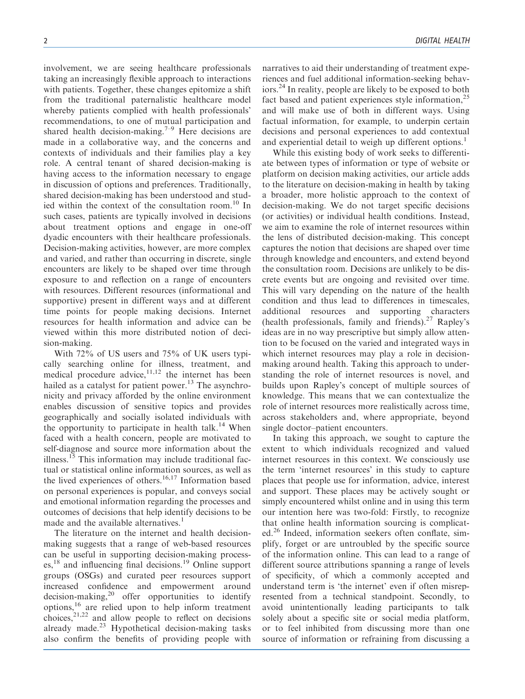involvement, we are seeing healthcare professionals taking an increasingly flexible approach to interactions with patients. Together, these changes epitomize a shift from the traditional paternalistic healthcare model whereby patients complied with health professionals' recommendations, to one of mutual participation and shared health decision-making.<sup>7–9</sup> Here decisions are made in a collaborative way, and the concerns and contexts of individuals and their families play a key role. A central tenant of shared decision-making is having access to the information necessary to engage in discussion of options and preferences. Traditionally, shared decision-making has been understood and studied within the context of the consultation room.<sup>10</sup> In such cases, patients are typically involved in decisions about treatment options and engage in one-off dyadic encounters with their healthcare professionals. Decision-making activities, however, are more complex and varied, and rather than occurring in discrete, single encounters are likely to be shaped over time through exposure to and reflection on a range of encounters with resources. Different resources (informational and supportive) present in different ways and at different time points for people making decisions. Internet resources for health information and advice can be viewed within this more distributed notion of decision-making.

With 72% of US users and 75% of UK users typically searching online for illness, treatment, and medical procedure advice, $11,12$  the internet has been hailed as a catalyst for patient power.<sup>13</sup> The asynchronicity and privacy afforded by the online environment enables discussion of sensitive topics and provides geographically and socially isolated individuals with the opportunity to participate in health talk.<sup>14</sup> When faced with a health concern, people are motivated to self-diagnose and source more information about the illness.<sup>15</sup> This information may include traditional factual or statistical online information sources, as well as the lived experiences of others.<sup>16,17</sup> Information based on personal experiences is popular, and conveys social and emotional information regarding the processes and outcomes of decisions that help identify decisions to be made and the available alternatives.<sup>1</sup>

The literature on the internet and health decisionmaking suggests that a range of web-based resources can be useful in supporting decision-making processes,<sup>18</sup> and influencing final decisions.<sup>19</sup> Online support groups (OSGs) and curated peer resources support increased confidence and empowerment around decision-making, $20$  offer opportunities to identify options,  $16$  are relied upon to help inform treatment choices, $2^{1,22}$  and allow people to reflect on decisions already made. $^{23}$  Hypothetical decision-making tasks also confirm the benefits of providing people with

narratives to aid their understanding of treatment experiences and fuel additional information-seeking behaviors.<sup>24</sup> In reality, people are likely to be exposed to both fact based and patient experiences style information,<sup>25</sup> and will make use of both in different ways. Using factual information, for example, to underpin certain decisions and personal experiences to add contextual and experiential detail to weigh up different options.<sup>1</sup>

While this existing body of work seeks to differentiate between types of information or type of website or platform on decision making activities, our article adds to the literature on decision-making in health by taking a broader, more holistic approach to the context of decision-making. We do not target specific decisions (or activities) or individual health conditions. Instead, we aim to examine the role of internet resources within the lens of distributed decision-making. This concept captures the notion that decisions are shaped over time through knowledge and encounters, and extend beyond the consultation room. Decisions are unlikely to be discrete events but are ongoing and revisited over time. This will vary depending on the nature of the health condition and thus lead to differences in timescales, additional resources and supporting characters (health professionals, family and friends).<sup>27</sup> Rapley's ideas are in no way prescriptive but simply allow attention to be focused on the varied and integrated ways in which internet resources may play a role in decisionmaking around health. Taking this approach to understanding the role of internet resources is novel, and builds upon Rapley's concept of multiple sources of knowledge. This means that we can contextualize the role of internet resources more realistically across time, across stakeholders and, where appropriate, beyond single doctor–patient encounters.

In taking this approach, we sought to capture the extent to which individuals recognized and valued internet resources in this context. We consciously use the term 'internet resources' in this study to capture places that people use for information, advice, interest and support. These places may be actively sought or simply encountered whilst online and in using this term our intention here was two-fold: Firstly, to recognize that online health information sourcing is complicated.<sup>26</sup> Indeed, information seekers often conflate, simplify, forget or are untroubled by the specific source of the information online. This can lead to a range of different source attributions spanning a range of levels of specificity, of which a commonly accepted and understand term is 'the internet' even if often misrepresented from a technical standpoint. Secondly, to avoid unintentionally leading participants to talk solely about a specific site or social media platform, or to feel inhibited from discussing more than one source of information or refraining from discussing a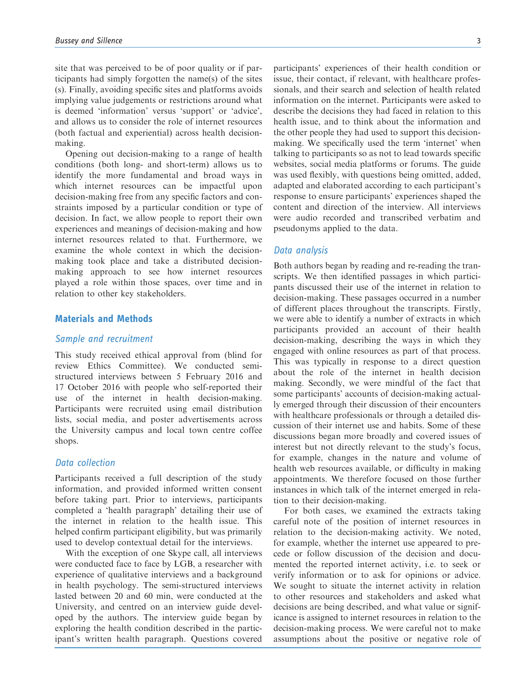site that was perceived to be of poor quality or if participants had simply forgotten the name(s) of the sites (s). Finally, avoiding specific sites and platforms avoids implying value judgements or restrictions around what is deemed 'information' versus 'support' or 'advice', and allows us to consider the role of internet resources (both factual and experiential) across health decisionmaking.

Opening out decision-making to a range of health conditions (both long- and short-term) allows us to identify the more fundamental and broad ways in which internet resources can be impactful upon decision-making free from any specific factors and constraints imposed by a particular condition or type of decision. In fact, we allow people to report their own experiences and meanings of decision-making and how internet resources related to that. Furthermore, we examine the whole context in which the decisionmaking took place and take a distributed decisionmaking approach to see how internet resources played a role within those spaces, over time and in relation to other key stakeholders.

# Materials and Methods

## Sample and recruitment

This study received ethical approval from (blind for review Ethics Committee). We conducted semistructured interviews between 5 February 2016 and 17 October 2016 with people who self-reported their use of the internet in health decision-making. Participants were recruited using email distribution lists, social media, and poster advertisements across the University campus and local town centre coffee shops.

# Data collection

Participants received a full description of the study information, and provided informed written consent before taking part. Prior to interviews, participants completed a 'health paragraph' detailing their use of the internet in relation to the health issue. This helped confirm participant eligibility, but was primarily used to develop contextual detail for the interviews.

With the exception of one Skype call, all interviews were conducted face to face by LGB, a researcher with experience of qualitative interviews and a background in health psychology. The semi-structured interviews lasted between 20 and 60 min, were conducted at the University, and centred on an interview guide developed by the authors. The interview guide began by exploring the health condition described in the participant's written health paragraph. Questions covered

participants' experiences of their health condition or issue, their contact, if relevant, with healthcare professionals, and their search and selection of health related information on the internet. Participants were asked to describe the decisions they had faced in relation to this health issue, and to think about the information and the other people they had used to support this decisionmaking. We specifically used the term 'internet' when talking to participants so as not to lead towards specific websites, social media platforms or forums. The guide was used flexibly, with questions being omitted, added, adapted and elaborated according to each participant's response to ensure participants' experiences shaped the content and direction of the interview. All interviews were audio recorded and transcribed verbatim and pseudonyms applied to the data.

## Data analysis

Both authors began by reading and re-reading the transcripts. We then identified passages in which participants discussed their use of the internet in relation to decision-making. These passages occurred in a number of different places throughout the transcripts. Firstly, we were able to identify a number of extracts in which participants provided an account of their health decision-making, describing the ways in which they engaged with online resources as part of that process. This was typically in response to a direct question about the role of the internet in health decision making. Secondly, we were mindful of the fact that some participants' accounts of decision-making actually emerged through their discussion of their encounters with healthcare professionals or through a detailed discussion of their internet use and habits. Some of these discussions began more broadly and covered issues of interest but not directly relevant to the study's focus, for example, changes in the nature and volume of health web resources available, or difficulty in making appointments. We therefore focused on those further instances in which talk of the internet emerged in relation to their decision-making.

For both cases, we examined the extracts taking careful note of the position of internet resources in relation to the decision-making activity. We noted, for example, whether the internet use appeared to precede or follow discussion of the decision and documented the reported internet activity, i.e. to seek or verify information or to ask for opinions or advice. We sought to situate the internet activity in relation to other resources and stakeholders and asked what decisions are being described, and what value or significance is assigned to internet resources in relation to the decision-making process. We were careful not to make assumptions about the positive or negative role of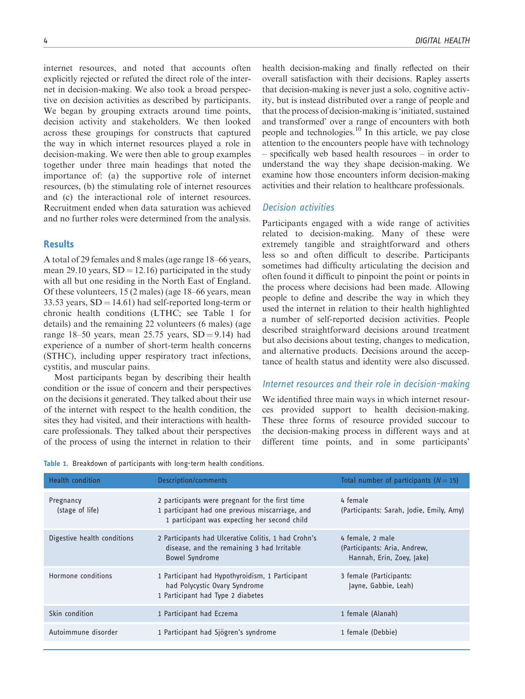internet resources, and noted that accounts often explicitly rejected or refuted the direct role of the internet in decision-making. We also took a broad perspective on decision activities as described by participants. We began by grouping extracts around time points, decision activity and stakeholders. We then looked across these groupings for constructs that captured the way in which internet resources played a role in decision-making. We were then able to group examples together under three main headings that noted the importance of: (a) the supportive role of internet resources, (b) the stimulating role of internet resources and (c) the interactional role of internet resources. Recruitment ended when data saturation was achieved and no further roles were determined from the analysis.

## **Results**

A total of 29 females and 8 males (age range 18–66 years, mean 29.10 years,  $SD = 12.16$ ) participated in the study with all but one residing in the North East of England. Of these volunteers, 15 (2 males) (age 18–66 years, mean 33.53 years,  $SD = 14.61$ ) had self-reported long-term or chronic health conditions (LTHC; see Table 1 for details) and the remaining 22 volunteers (6 males) (age range 18–50 years, mean 25.75 years,  $SD = 9.14$ ) had experience of a number of short-term health concerns (STHC), including upper respiratory tract infections, cystitis, and muscular pains.

Most participants began by describing their health condition or the issue of concern and their perspectives on the decisions it generated. They talked about their use of the internet with respect to the health condition, the sites they had visited, and their interactions with healthcare professionals. They talked about their perspectives of the process of using the internet in relation to their health decision-making and finally reflected on their overall satisfaction with their decisions. Rapley asserts that decision-making is never just a solo, cognitive activity, but is instead distributed over a range of people and that the process of decision-making is 'initiated, sustained and transformed' over a range of encounters with both people and technologies.<sup>10</sup> In this article, we pay close attention to the encounters people have with technology – specifically web based health resources – in order to understand the way they shape decision-making. We examine how those encounters inform decision-making activities and their relation to healthcare professionals.

# Decision activities

Participants engaged with a wide range of activities related to decision-making. Many of these were extremely tangible and straightforward and others less so and often difficult to describe. Participants sometimes had difficulty articulating the decision and often found it difficult to pinpoint the point or points in the process where decisions had been made. Allowing people to define and describe the way in which they used the internet in relation to their health highlighted a number of self-reported decision activities. People described straightforward decisions around treatment but also decisions about testing, changes to medication, and alternative products. Decisions around the acceptance of health status and identity were also discussed.

## Internet resources and their role in decision-making

We identified three main ways in which internet resources provided support to health decision-making. These three forms of resource provided succour to the decision-making process in different ways and at different time points, and in some participants'

|  |  |  | Table 1. Breakdown of participants with long-term health conditions. |  |  |  |  |
|--|--|--|----------------------------------------------------------------------|--|--|--|--|
|--|--|--|----------------------------------------------------------------------|--|--|--|--|

| <b>Health condition</b>      | Description/comments                                                                                                                               | Total number of participants $(N=15)$                                         |
|------------------------------|----------------------------------------------------------------------------------------------------------------------------------------------------|-------------------------------------------------------------------------------|
| Pregnancy<br>(stage of life) | 2 participants were pregnant for the first time<br>1 participant had one previous miscarriage, and<br>1 participant was expecting her second child | 4 female<br>(Participants: Sarah, Jodie, Emily, Amy)                          |
| Digestive health conditions  | 2 Participants had Ulcerative Colitis, 1 had Crohn's<br>disease, and the remaining 3 had Irritable<br><b>Bowel Syndrome</b>                        | 4 female, 2 male<br>(Participants: Aria, Andrew,<br>Hannah, Erin, Zoey, Jake) |
| Hormone conditions           | 1 Participant had Hypothyroidism, 1 Participant<br>had Polycystic Ovary Syndrome<br>1 Participant had Type 2 diabetes                              | 3 female (Participants:<br>Jayne, Gabbie, Leah)                               |
| Skin condition               | 1 Participant had Eczema                                                                                                                           | 1 female (Alanah)                                                             |
| Autoimmune disorder          | 1 Participant had Sjögren's syndrome                                                                                                               | 1 female (Debbie)                                                             |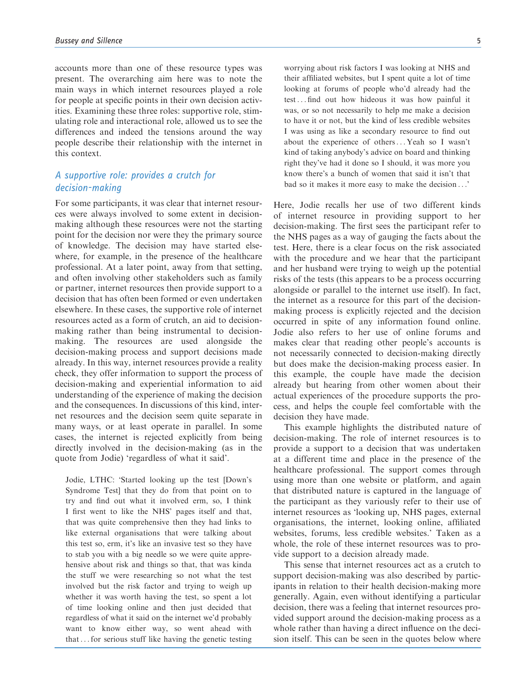accounts more than one of these resource types was present. The overarching aim here was to note the main ways in which internet resources played a role for people at specific points in their own decision activities. Examining these three roles: supportive role, stimulating role and interactional role, allowed us to see the differences and indeed the tensions around the way people describe their relationship with the internet in this context.

# A supportive role: provides a crutch for decision-making

For some participants, it was clear that internet resources were always involved to some extent in decisionmaking although these resources were not the starting point for the decision nor were they the primary source of knowledge. The decision may have started elsewhere, for example, in the presence of the healthcare professional. At a later point, away from that setting, and often involving other stakeholders such as family or partner, internet resources then provide support to a decision that has often been formed or even undertaken elsewhere. In these cases, the supportive role of internet resources acted as a form of crutch, an aid to decisionmaking rather than being instrumental to decisionmaking. The resources are used alongside the decision-making process and support decisions made already. In this way, internet resources provide a reality check, they offer information to support the process of decision-making and experiential information to aid understanding of the experience of making the decision and the consequences. In discussions of this kind, internet resources and the decision seem quite separate in many ways, or at least operate in parallel. In some cases, the internet is rejected explicitly from being directly involved in the decision-making (as in the quote from Jodie) 'regardless of what it said'.

Jodie, LTHC: 'Started looking up the test [Down's Syndrome Test] that they do from that point on to try and find out what it involved erm, so, I think I first went to like the NHS' pages itself and that, that was quite comprehensive then they had links to like external organisations that were talking about this test so, erm, it's like an invasive test so they have to stab you with a big needle so we were quite apprehensive about risk and things so that, that was kinda the stuff we were researching so not what the test involved but the risk factor and trying to weigh up whether it was worth having the test, so spent a lot of time looking online and then just decided that regardless of what it said on the internet we'd probably want to know either way, so went ahead with that...for serious stuff like having the genetic testing

worrying about risk factors I was looking at NHS and their affiliated websites, but I spent quite a lot of time looking at forums of people who'd already had the test... find out how hideous it was how painful it was, or so not necessarily to help me make a decision to have it or not, but the kind of less credible websites I was using as like a secondary resource to find out about the experience of others... Yeah so I wasn't kind of taking anybody's advice on board and thinking right they've had it done so I should, it was more you know there's a bunch of women that said it isn't that bad so it makes it more easy to make the decision ...'

Here, Jodie recalls her use of two different kinds of internet resource in providing support to her decision-making. The first sees the participant refer to the NHS pages as a way of gauging the facts about the test. Here, there is a clear focus on the risk associated with the procedure and we hear that the participant and her husband were trying to weigh up the potential risks of the tests (this appears to be a process occurring alongside or parallel to the internet use itself). In fact, the internet as a resource for this part of the decisionmaking process is explicitly rejected and the decision occurred in spite of any information found online. Jodie also refers to her use of online forums and makes clear that reading other people's accounts is not necessarily connected to decision-making directly but does make the decision-making process easier. In this example, the couple have made the decision already but hearing from other women about their actual experiences of the procedure supports the process, and helps the couple feel comfortable with the decision they have made.

This example highlights the distributed nature of decision-making. The role of internet resources is to provide a support to a decision that was undertaken at a different time and place in the presence of the healthcare professional. The support comes through using more than one website or platform, and again that distributed nature is captured in the language of the participant as they variously refer to their use of internet resources as 'looking up, NHS pages, external organisations, the internet, looking online, affiliated websites, forums, less credible websites.' Taken as a whole, the role of these internet resources was to provide support to a decision already made.

This sense that internet resources act as a crutch to support decision-making was also described by participants in relation to their health decision-making more generally. Again, even without identifying a particular decision, there was a feeling that internet resources provided support around the decision-making process as a whole rather than having a direct influence on the decision itself. This can be seen in the quotes below where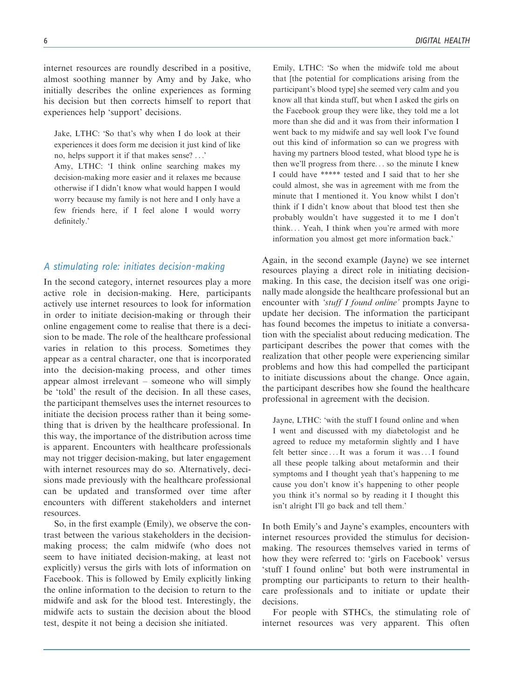internet resources are roundly described in a positive, almost soothing manner by Amy and by Jake, who initially describes the online experiences as forming his decision but then corrects himself to report that experiences help 'support' decisions.

Jake, LTHC: 'So that's why when I do look at their experiences it does form me decision it just kind of like no, helps support it if that makes sense? ...'

Amy, LTHC: 'I think online searching makes my decision-making more easier and it relaxes me because otherwise if I didn't know what would happen I would worry because my family is not here and I only have a few friends here, if I feel alone I would worry definitely.'

## A stimulating role: initiates decision-making

In the second category, internet resources play a more active role in decision-making. Here, participants actively use internet resources to look for information in order to initiate decision-making or through their online engagement come to realise that there is a decision to be made. The role of the healthcare professional varies in relation to this process. Sometimes they appear as a central character, one that is incorporated into the decision-making process, and other times appear almost irrelevant – someone who will simply be 'told' the result of the decision. In all these cases, the participant themselves uses the internet resources to initiate the decision process rather than it being something that is driven by the healthcare professional. In this way, the importance of the distribution across time is apparent. Encounters with healthcare professionals may not trigger decision-making, but later engagement with internet resources may do so. Alternatively, decisions made previously with the healthcare professional can be updated and transformed over time after encounters with different stakeholders and internet resources.

So, in the first example (Emily), we observe the contrast between the various stakeholders in the decisionmaking process; the calm midwife (who does not seem to have initiated decision-making, at least not explicitly) versus the girls with lots of information on Facebook. This is followed by Emily explicitly linking the online information to the decision to return to the midwife and ask for the blood test. Interestingly, the midwife acts to sustain the decision about the blood test, despite it not being a decision she initiated.

Emily, LTHC: 'So when the midwife told me about that [the potential for complications arising from the participant's blood type] she seemed very calm and you know all that kinda stuff, but when I asked the girls on the Facebook group they were like, they told me a lot more than she did and it was from their information I went back to my midwife and say well look I've found out this kind of information so can we progress with having my partners blood tested, what blood type he is then we'll progress from there... so the minute I knew I could have \*\*\*\*\* tested and I said that to her she could almost, she was in agreement with me from the minute that I mentioned it. You know whilst I don't think if I didn't know about that blood test then she probably wouldn't have suggested it to me I don't think... Yeah, I think when you're armed with more information you almost get more information back.'

Again, in the second example (Jayne) we see internet resources playing a direct role in initiating decisionmaking. In this case, the decision itself was one originally made alongside the healthcare professional but an encounter with 'stuff I found online' prompts Jayne to update her decision. The information the participant has found becomes the impetus to initiate a conversation with the specialist about reducing medication. The participant describes the power that comes with the realization that other people were experiencing similar problems and how this had compelled the participant to initiate discussions about the change. Once again, the participant describes how she found the healthcare professional in agreement with the decision.

Jayne, LTHC: 'with the stuff I found online and when I went and discussed with my diabetologist and he agreed to reduce my metaformin slightly and I have felt better since ...It was a forum it was...I found all these people talking about metaformin and their symptoms and I thought yeah that's happening to me cause you don't know it's happening to other people you think it's normal so by reading it I thought this isn't alright I'll go back and tell them.'

In both Emily's and Jayne's examples, encounters with internet resources provided the stimulus for decisionmaking. The resources themselves varied in terms of how they were referred to: 'girls on Facebook' versus 'stuff I found online' but both were instrumental in prompting our participants to return to their healthcare professionals and to initiate or update their decisions.

For people with STHCs, the stimulating role of internet resources was very apparent. This often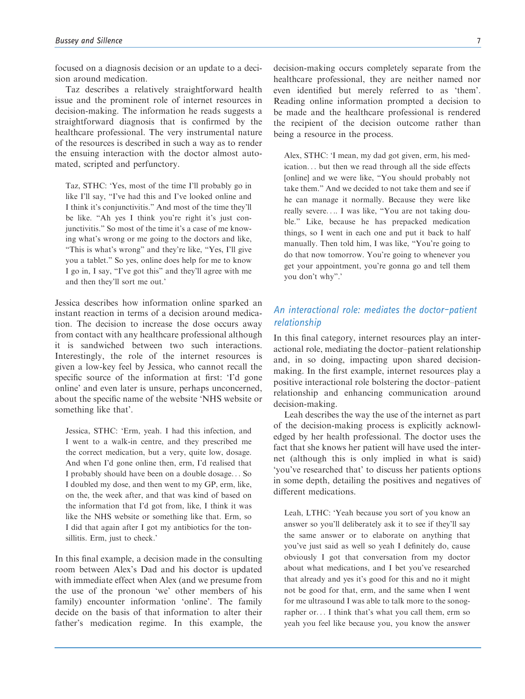focused on a diagnosis decision or an update to a decision around medication.

Taz describes a relatively straightforward health issue and the prominent role of internet resources in decision-making. The information he reads suggests a straightforward diagnosis that is confirmed by the healthcare professional. The very instrumental nature of the resources is described in such a way as to render the ensuing interaction with the doctor almost automated, scripted and perfunctory.

Taz, STHC: 'Yes, most of the time I'll probably go in like I'll say, "I've had this and I've looked online and I think it's conjunctivitis." And most of the time they'll be like. "Ah yes I think you're right it's just conjunctivitis." So most of the time it's a case of me knowing what's wrong or me going to the doctors and like, "This is what's wrong" and they're like, "Yes, I'll give you a tablet." So yes, online does help for me to know I go in, I say, "I've got this" and they'll agree with me and then they'll sort me out.'

Jessica describes how information online sparked an instant reaction in terms of a decision around medication. The decision to increase the dose occurs away from contact with any healthcare professional although it is sandwiched between two such interactions. Interestingly, the role of the internet resources is given a low-key feel by Jessica, who cannot recall the specific source of the information at first: 'I'd gone online' and even later is unsure, perhaps unconcerned, about the specific name of the website 'NHS website or something like that'.

Jessica, STHC: 'Erm, yeah. I had this infection, and I went to a walk-in centre, and they prescribed me the correct medication, but a very, quite low, dosage. And when I'd gone online then, erm, I'd realised that I probably should have been on a double dosage... So I doubled my dose, and then went to my GP, erm, like, on the, the week after, and that was kind of based on the information that I'd got from, like, I think it was like the NHS website or something like that. Erm, so I did that again after I got my antibiotics for the tonsillitis. Erm, just to check.'

In this final example, a decision made in the consulting room between Alex's Dad and his doctor is updated with immediate effect when Alex (and we presume from the use of the pronoun 'we' other members of his family) encounter information 'online'. The family decide on the basis of that information to alter their father's medication regime. In this example, the decision-making occurs completely separate from the healthcare professional, they are neither named nor even identified but merely referred to as 'them'. Reading online information prompted a decision to be made and the healthcare professional is rendered the recipient of the decision outcome rather than being a resource in the process.

Alex, STHC: 'I mean, my dad got given, erm, his medication... but then we read through all the side effects [online] and we were like, "You should probably not take them." And we decided to not take them and see if he can manage it normally. Because they were like really severe.... I was like, "You are not taking double." Like, because he has prepacked medication things, so I went in each one and put it back to half manually. Then told him, I was like, "You're going to do that now tomorrow. You're going to whenever you get your appointment, you're gonna go and tell them you don't why".'

# An interactional role: mediates the doctor–patient relationship

In this final category, internet resources play an interactional role, mediating the doctor–patient relationship and, in so doing, impacting upon shared decisionmaking. In the first example, internet resources play a positive interactional role bolstering the doctor–patient relationship and enhancing communication around decision-making.

Leah describes the way the use of the internet as part of the decision-making process is explicitly acknowledged by her health professional. The doctor uses the fact that she knows her patient will have used the internet (although this is only implied in what is said) 'you've researched that' to discuss her patients options in some depth, detailing the positives and negatives of different medications.

Leah, LTHC: 'Yeah because you sort of you know an answer so you'll deliberately ask it to see if they'll say the same answer or to elaborate on anything that you've just said as well so yeah I definitely do, cause obviously I got that conversation from my doctor about what medications, and I bet you've researched that already and yes it's good for this and no it might not be good for that, erm, and the same when I went for me ultrasound I was able to talk more to the sonographer or... I think that's what you call them, erm so yeah you feel like because you, you know the answer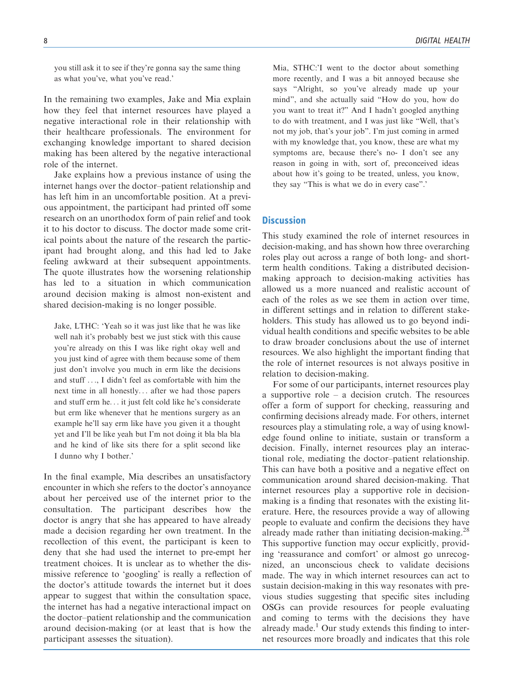you still ask it to see if they're gonna say the same thing as what you've, what you've read.'

In the remaining two examples, Jake and Mia explain how they feel that internet resources have played a negative interactional role in their relationship with their healthcare professionals. The environment for exchanging knowledge important to shared decision making has been altered by the negative interactional role of the internet.

Jake explains how a previous instance of using the internet hangs over the doctor–patient relationship and has left him in an uncomfortable position. At a previous appointment, the participant had printed off some research on an unorthodox form of pain relief and took it to his doctor to discuss. The doctor made some critical points about the nature of the research the participant had brought along, and this had led to Jake feeling awkward at their subsequent appointments. The quote illustrates how the worsening relationship has led to a situation in which communication around decision making is almost non-existent and shared decision-making is no longer possible.

Jake, LTHC: 'Yeah so it was just like that he was like well nah it's probably best we just stick with this cause you're already on this I was like right okay well and you just kind of agree with them because some of them just don't involve you much in erm like the decisions and stuff ..., I didn't feel as comfortable with him the next time in all honestly... after we had those papers and stuff erm he... it just felt cold like he's considerate but erm like whenever that he mentions surgery as an example he'll say erm like have you given it a thought yet and I'll be like yeah but I'm not doing it bla bla bla and he kind of like sits there for a split second like I dunno why I bother.'

In the final example, Mia describes an unsatisfactory encounter in which she refers to the doctor's annoyance about her perceived use of the internet prior to the consultation. The participant describes how the doctor is angry that she has appeared to have already made a decision regarding her own treatment. In the recollection of this event, the participant is keen to deny that she had used the internet to pre-empt her treatment choices. It is unclear as to whether the dismissive reference to 'googling' is really a reflection of the doctor's attitude towards the internet but it does appear to suggest that within the consultation space, the internet has had a negative interactional impact on the doctor–patient relationship and the communication around decision-making (or at least that is how the participant assesses the situation).

Mia, STHC:'I went to the doctor about something more recently, and I was a bit annoyed because she says "Alright, so you've already made up your mind", and she actually said "How do you, how do you want to treat it?" And I hadn't googled anything to do with treatment, and I was just like "Well, that's not my job, that's your job". I'm just coming in armed with my knowledge that, you know, these are what my symptoms are, because there's no- I don't see any reason in going in with, sort of, preconceived ideas about how it's going to be treated, unless, you know, they say "This is what we do in every case".'

# **Discussion**

This study examined the role of internet resources in decision-making, and has shown how three overarching roles play out across a range of both long- and shortterm health conditions. Taking a distributed decisionmaking approach to decision-making activities has allowed us a more nuanced and realistic account of each of the roles as we see them in action over time, in different settings and in relation to different stakeholders. This study has allowed us to go beyond individual health conditions and specific websites to be able to draw broader conclusions about the use of internet resources. We also highlight the important finding that the role of internet resources is not always positive in relation to decision-making.

For some of our participants, internet resources play a supportive role – a decision crutch. The resources offer a form of support for checking, reassuring and confirming decisions already made. For others, internet resources play a stimulating role, a way of using knowledge found online to initiate, sustain or transform a decision. Finally, internet resources play an interactional role, mediating the doctor–patient relationship. This can have both a positive and a negative effect on communication around shared decision-making. That internet resources play a supportive role in decisionmaking is a finding that resonates with the existing literature. Here, the resources provide a way of allowing people to evaluate and confirm the decisions they have already made rather than initiating decision-making.<sup>28</sup> This supportive function may occur explicitly, providing 'reassurance and comfort' or almost go unrecognized, an unconscious check to validate decisions made. The way in which internet resources can act to sustain decision-making in this way resonates with previous studies suggesting that specific sites including OSGs can provide resources for people evaluating and coming to terms with the decisions they have already made.<sup>1</sup> Our study extends this finding to internet resources more broadly and indicates that this role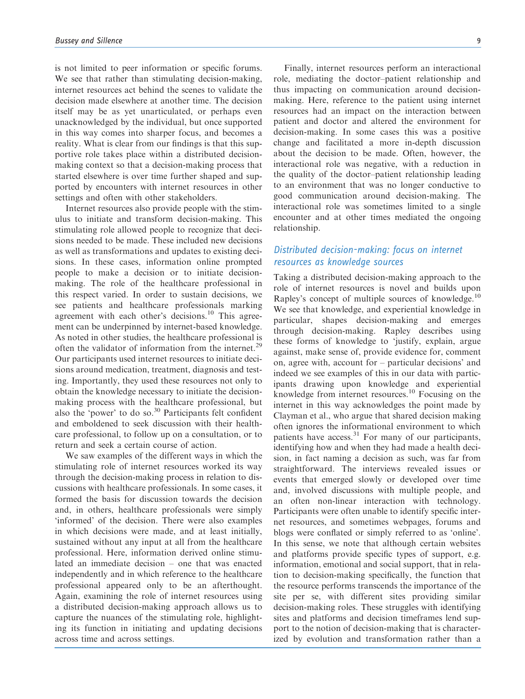is not limited to peer information or specific forums. We see that rather than stimulating decision-making, internet resources act behind the scenes to validate the decision made elsewhere at another time. The decision itself may be as yet unarticulated, or perhaps even unacknowledged by the individual, but once supported in this way comes into sharper focus, and becomes a reality. What is clear from our findings is that this supportive role takes place within a distributed decisionmaking context so that a decision-making process that started elsewhere is over time further shaped and supported by encounters with internet resources in other settings and often with other stakeholders.

Internet resources also provide people with the stimulus to initiate and transform decision-making. This stimulating role allowed people to recognize that decisions needed to be made. These included new decisions as well as transformations and updates to existing decisions. In these cases, information online prompted people to make a decision or to initiate decisionmaking. The role of the healthcare professional in this respect varied. In order to sustain decisions, we see patients and healthcare professionals marking agreement with each other's decisions.<sup>10</sup> This agreement can be underpinned by internet-based knowledge. As noted in other studies, the healthcare professional is often the validator of information from the internet.<sup>29</sup> Our participants used internet resources to initiate decisions around medication, treatment, diagnosis and testing. Importantly, they used these resources not only to obtain the knowledge necessary to initiate the decisionmaking process with the healthcare professional, but also the 'power' to do so. $^{30}$  Participants felt confident and emboldened to seek discussion with their healthcare professional, to follow up on a consultation, or to return and seek a certain course of action.

We saw examples of the different ways in which the stimulating role of internet resources worked its way through the decision-making process in relation to discussions with healthcare professionals. In some cases, it formed the basis for discussion towards the decision and, in others, healthcare professionals were simply 'informed' of the decision. There were also examples in which decisions were made, and at least initially, sustained without any input at all from the healthcare professional. Here, information derived online stimulated an immediate decision – one that was enacted independently and in which reference to the healthcare professional appeared only to be an afterthought. Again, examining the role of internet resources using a distributed decision-making approach allows us to capture the nuances of the stimulating role, highlighting its function in initiating and updating decisions across time and across settings.

Finally, internet resources perform an interactional role, mediating the doctor–patient relationship and thus impacting on communication around decisionmaking. Here, reference to the patient using internet resources had an impact on the interaction between patient and doctor and altered the environment for decision-making. In some cases this was a positive change and facilitated a more in-depth discussion about the decision to be made. Often, however, the interactional role was negative, with a reduction in the quality of the doctor–patient relationship leading to an environment that was no longer conductive to good communication around decision-making. The interactional role was sometimes limited to a single encounter and at other times mediated the ongoing relationship.

# Distributed decision-making: focus on internet resources as knowledge sources

Taking a distributed decision-making approach to the role of internet resources is novel and builds upon Rapley's concept of multiple sources of knowledge.<sup>10</sup> We see that knowledge, and experiential knowledge in particular, shapes decision-making and emerges through decision-making. Rapley describes using these forms of knowledge to 'justify, explain, argue against, make sense of, provide evidence for, comment on, agree with, account for – particular decisions' and indeed we see examples of this in our data with participants drawing upon knowledge and experiential knowledge from internet resources.<sup>10</sup> Focusing on the internet in this way acknowledges the point made by Clayman et al., who argue that shared decision making often ignores the informational environment to which patients have access. $31$  For many of our participants, identifying how and when they had made a health decision, in fact naming a decision as such, was far from straightforward. The interviews revealed issues or events that emerged slowly or developed over time and, involved discussions with multiple people, and an often non-linear interaction with technology. Participants were often unable to identify specific internet resources, and sometimes webpages, forums and blogs were conflated or simply referred to as 'online'. In this sense, we note that although certain websites and platforms provide specific types of support, e.g. information, emotional and social support, that in relation to decision-making specifically, the function that the resource performs transcends the importance of the site per se, with different sites providing similar decision-making roles. These struggles with identifying sites and platforms and decision timeframes lend support to the notion of decision-making that is characterized by evolution and transformation rather than a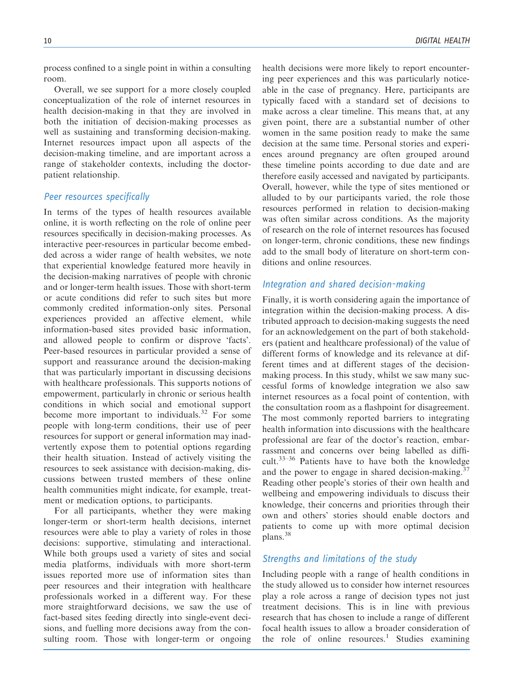room. Overall, we see support for a more closely coupled conceptualization of the role of internet resources in health decision-making in that they are involved in both the initiation of decision-making processes as well as sustaining and transforming decision-making. Internet resources impact upon all aspects of the decision-making timeline, and are important across a range of stakeholder contexts, including the doctorpatient relationship.

## Peer resources specifically

In terms of the types of health resources available online, it is worth reflecting on the role of online peer resources specifically in decision-making processes. As interactive peer-resources in particular become embedded across a wider range of health websites, we note that experiential knowledge featured more heavily in the decision-making narratives of people with chronic and or longer-term health issues. Those with short-term or acute conditions did refer to such sites but more commonly credited information-only sites. Personal experiences provided an affective element, while information-based sites provided basic information, and allowed people to confirm or disprove 'facts'. Peer-based resources in particular provided a sense of support and reassurance around the decision-making that was particularly important in discussing decisions with healthcare professionals. This supports notions of empowerment, particularly in chronic or serious health conditions in which social and emotional support become more important to individuals. $32$  For some people with long-term conditions, their use of peer resources for support or general information may inadvertently expose them to potential options regarding their health situation. Instead of actively visiting the resources to seek assistance with decision-making, discussions between trusted members of these online health communities might indicate, for example, treatment or medication options, to participants.

For all participants, whether they were making longer-term or short-term health decisions, internet resources were able to play a variety of roles in those decisions: supportive, stimulating and interactional. While both groups used a variety of sites and social media platforms, individuals with more short-term issues reported more use of information sites than peer resources and their integration with healthcare professionals worked in a different way. For these more straightforward decisions, we saw the use of fact-based sites feeding directly into single-event decisions, and fuelling more decisions away from the consulting room. Those with longer-term or ongoing health decisions were more likely to report encountering peer experiences and this was particularly noticeable in the case of pregnancy. Here, participants are typically faced with a standard set of decisions to make across a clear timeline. This means that, at any given point, there are a substantial number of other women in the same position ready to make the same decision at the same time. Personal stories and experiences around pregnancy are often grouped around these timeline points according to due date and are therefore easily accessed and navigated by participants. Overall, however, while the type of sites mentioned or alluded to by our participants varied, the role those resources performed in relation to decision-making was often similar across conditions. As the majority of research on the role of internet resources has focused on longer-term, chronic conditions, these new findings add to the small body of literature on short-term conditions and online resources.

## Integration and shared decision-making

Finally, it is worth considering again the importance of integration within the decision-making process. A distributed approach to decision-making suggests the need for an acknowledgement on the part of both stakeholders (patient and healthcare professional) of the value of different forms of knowledge and its relevance at different times and at different stages of the decisionmaking process. In this study, whilst we saw many successful forms of knowledge integration we also saw internet resources as a focal point of contention, with the consultation room as a flashpoint for disagreement. The most commonly reported barriers to integrating health information into discussions with the healthcare professional are fear of the doctor's reaction, embarrassment and concerns over being labelled as difficult.33–36 Patients have to have both the knowledge and the power to engage in shared decision-making.<sup>37</sup> Reading other people's stories of their own health and wellbeing and empowering individuals to discuss their knowledge, their concerns and priorities through their own and others' stories should enable doctors and patients to come up with more optimal decision plans.<sup>38</sup>

# Strengths and limitations of the study

Including people with a range of health conditions in the study allowed us to consider how internet resources play a role across a range of decision types not just treatment decisions. This is in line with previous research that has chosen to include a range of different focal health issues to allow a broader consideration of the role of online resources.<sup>1</sup> Studies examining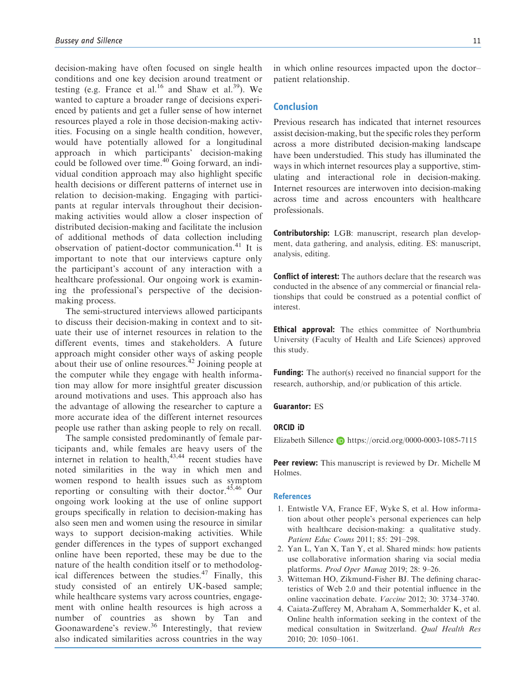decision-making have often focused on single health conditions and one key decision around treatment or testing (e.g. France et al.<sup>16</sup> and Shaw et al.<sup>39</sup>). We wanted to capture a broader range of decisions experienced by patients and get a fuller sense of how internet resources played a role in those decision-making activities. Focusing on a single health condition, however, would have potentially allowed for a longitudinal approach in which participants' decision-making could be followed over time. $40^{\degree}$ Going forward, an individual condition approach may also highlight specific health decisions or different patterns of internet use in relation to decision-making. Engaging with participants at regular intervals throughout their decisionmaking activities would allow a closer inspection of distributed decision-making and facilitate the inclusion of additional methods of data collection including observation of patient-doctor communication.<sup>41</sup> It is important to note that our interviews capture only the participant's account of any interaction with a healthcare professional. Our ongoing work is examining the professional's perspective of the decisionmaking process.

The semi-structured interviews allowed participants to discuss their decision-making in context and to situate their use of internet resources in relation to the different events, times and stakeholders. A future approach might consider other ways of asking people about their use of online resources. $^{42}$  Joining people at the computer while they engage with health information may allow for more insightful greater discussion around motivations and uses. This approach also has the advantage of allowing the researcher to capture a more accurate idea of the different internet resources people use rather than asking people to rely on recall.

The sample consisted predominantly of female participants and, while females are heavy users of the internet in relation to health, $43,44$  recent studies have noted similarities in the way in which men and women respond to health issues such as symptom reporting or consulting with their doctor. $45,46$  Our ongoing work looking at the use of online support groups specifically in relation to decision-making has also seen men and women using the resource in similar ways to support decision-making activities. While gender differences in the types of support exchanged online have been reported, these may be due to the nature of the health condition itself or to methodological differences between the studies.<sup>47</sup> Finally, this study consisted of an entirely UK-based sample; while healthcare systems vary across countries, engagement with online health resources is high across a number of countries as shown by Tan and Goonawardene's review.<sup>36</sup> Interestingly, that review also indicated similarities across countries in the way in which online resources impacted upon the doctor– patient relationship.

## Conclusion

Previous research has indicated that internet resources assist decision-making, but the specific roles they perform across a more distributed decision-making landscape have been understudied. This study has illuminated the ways in which internet resources play a supportive, stimulating and interactional role in decision-making. Internet resources are interwoven into decision-making across time and across encounters with healthcare professionals.

Contributorship: LGB: manuscript, research plan development, data gathering, and analysis, editing. ES: manuscript, analysis, editing.

Conflict of interest: The authors declare that the research was conducted in the absence of any commercial or financial relationships that could be construed as a potential conflict of interest.

Ethical approval: The ethics committee of Northumbria University (Faculty of Health and Life Sciences) approved this study.

**Funding:** The author(s) received no financial support for the research, authorship, and/or publication of this article.

Guarantor: ES

#### ORCID iD

Elizabeth Sillence **h**ttps://orcid.org/0000-0003-1085-7115

Peer review: This manuscript is reviewed by Dr. Michelle M Holmes.

### References

- 1. Entwistle VA, France EF, Wyke S, et al. How information about other people's personal experiences can help with healthcare decision-making: a qualitative study. Patient Educ Couns 2011; 85: 291–298.
- 2. Yan L, Yan X, Tan Y, et al. Shared minds: how patients use collaborative information sharing via social media platforms. Prod Oper Manag 2019; 28: 9-26.
- 3. Witteman HO, Zikmund-Fisher BJ. The defining characteristics of Web 2.0 and their potential influence in the online vaccination debate. Vaccine 2012; 30: 3734–3740.
- 4. Caiata-Zufferey M, Abraham A, Sommerhalder K, et al. Online health information seeking in the context of the medical consultation in Switzerland. Qual Health Res 2010; 20: 1050–1061.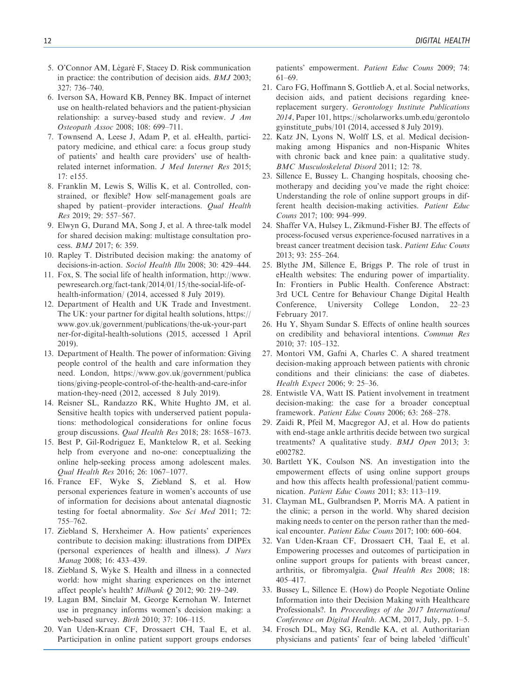- 5. O'Connor AM, Légaré F, Stacey D. Risk communication in practice: the contribution of decision aids. BMJ 2003; 327: 736–740.
- 6. Iverson SA, Howard KB, Penney BK. Impact of internet use on health-related behaviors and the patient-physician relationship: a survey-based study and review. J Am Osteopath Assoc 2008; 108: 699–711.
- 7. Townsend A, Leese J, Adam P, et al. eHealth, participatory medicine, and ethical care: a focus group study of patients' and health care providers' use of healthrelated internet information. J Med Internet Res 2015; 17: e155.
- 8. Franklin M, Lewis S, Willis K, et al. Controlled, constrained, or flexible? How self-management goals are shaped by patient–provider interactions. Qual Health Res 2019; 29: 557–567.
- 9. Elwyn G, Durand MA, Song J, et al. A three-talk model for shared decision making: multistage consultation process. BMJ 2017; 6: 359.
- 10. Rapley T. Distributed decision making: the anatomy of decisions-in-action. Sociol Health Illn 2008; 30: 429–444.
- 11. Fox, S. The social life of health information, [http://www.](http://www.pewresearch.org/fact-tank/2014/01/15/the-social-life-of-health-information/) [pewresearch.org/fact-tank/2014/01/15/the-social-life-of](http://www.pewresearch.org/fact-tank/2014/01/15/the-social-life-of-health-information/)[health-information/](http://www.pewresearch.org/fact-tank/2014/01/15/the-social-life-of-health-information/) (2014, accessed 8 July 2019).
- 12. Department of Health and UK Trade and Investment. The UK: your partner for digital health solutions, [https://](https://www.gov.uk/government/publications/the-uk-your-partner-for-digital-health-solutions) [www.gov.uk/government/publications/the-uk-your-part](https://www.gov.uk/government/publications/the-uk-your-partner-for-digital-health-solutions) [ner-for-digital-health-solutions](https://www.gov.uk/government/publications/the-uk-your-partner-for-digital-health-solutions) (2015, accessed 1 April 2019).
- 13. Department of Health. The power of information: Giving people control of the health and care information they need. London, [https://www.gov.uk/government/publica](https://www.gov.uk/government/publications/giving-people-control-of-the-health-and-care-information-they-need) [tions/giving-people-control-of-the-health-and-care-infor](https://www.gov.uk/government/publications/giving-people-control-of-the-health-and-care-information-they-need) [mation-they-need](https://www.gov.uk/government/publications/giving-people-control-of-the-health-and-care-information-they-need) (2012, accessed 8 July 2019).
- 14. Reisner SL, Randazzo RK, White Hughto JM, et al. Sensitive health topics with underserved patient populations: methodological considerations for online focus group discussions. Qual Health Res 2018; 28: 1658–1673.
- 15. Best P, Gil-Rodriguez E, Manktelow R, et al. Seeking help from everyone and no-one: conceptualizing the online help-seeking process among adolescent males. Qual Health Res 2016; 26: 1067–1077.
- 16. France EF, Wyke S, Ziebland S, et al. How personal experiences feature in women's accounts of use of information for decisions about antenatal diagnostic testing for foetal abnormality. Soc Sci Med 2011; 72: 755–762.
- 17. Ziebland S, Herxheimer A. How patients' experiences contribute to decision making: illustrations from DIPEx (personal experiences of health and illness). J Nurs Manag 2008; 16: 433–439.
- 18. Ziebland S, Wyke S. Health and illness in a connected world: how might sharing experiences on the internet affect people's health? Milbank Q 2012; 90: 219–249.
- 19. Lagan BM, Sinclair M, George Kernohan W. Internet use in pregnancy informs women's decision making: a web-based survey. Birth 2010; 37: 106–115.
- 20. Van Uden-Kraan CF, Drossaert CH, Taal E, et al. Participation in online patient support groups endorses

patients' empowerment. Patient Educ Couns 2009; 74: 61–69.

- 21. Caro FG, Hoffmann S, Gottlieb A, et al. Social networks, decision aids, and patient decisions regarding kneereplacement surgery. Gerontology Institute Publications 2014, Paper 101, [https://scholarworks.umb.edu/gerontolo](https://scholarworks.umb.edu/gerontologyinstitute_pubs/101) [gyinstitute\\_pubs/101](https://scholarworks.umb.edu/gerontologyinstitute_pubs/101) (2014, accessed 8 July 2019).
- 22. Katz JN, Lyons N, Wolff LS, et al. Medical decisionmaking among Hispanics and non-Hispanic Whites with chronic back and knee pain: a qualitative study. BMC Musculoskeletal Disord 2011; 12: 78.
- 23. Sillence E, Bussey L. Changing hospitals, choosing chemotherapy and deciding you've made the right choice: Understanding the role of online support groups in different health decision-making activities. Patient Educ Couns 2017; 100: 994–999.
- 24. Shaffer VA, Hulsey L, Zikmund-Fisher BJ. The effects of process-focused versus experience-focused narratives in a breast cancer treatment decision task. Patient Educ Couns 2013; 93: 255–264.
- 25. Blythe JM, Sillence E, Briggs P. The role of trust in eHealth websites: The enduring power of impartiality. In: Frontiers in Public Health. Conference Abstract: 3rd UCL Centre for Behaviour Change Digital Health Conference, University College London, 22–23 February 2017.
- 26. Hu Y, Shyam Sundar S. Effects of online health sources on credibility and behavioral intentions. Commun Res 2010; 37: 105–132.
- 27. Montori VM, Gafni A, Charles C. A shared treatment decision-making approach between patients with chronic conditions and their clinicians: the case of diabetes. Health Expect 2006; 9: 25–36.
- 28. Entwistle VA, Watt IS. Patient involvement in treatment decision-making: the case for a broader conceptual framework. Patient Educ Couns 2006; 63: 268–278.
- 29. Zaidi R, Pfeil M, Macgregor AJ, et al. How do patients with end-stage ankle arthritis decide between two surgical treatments? A qualitative study. BMJ Open 2013; 3: e002782.
- 30. Bartlett YK, Coulson NS. An investigation into the empowerment effects of using online support groups and how this affects health professional/patient communication. Patient Educ Couns 2011; 83: 113–119.
- 31. Clayman ML, Gulbrandsen P, Morris MA. A patient in the clinic; a person in the world. Why shared decision making needs to center on the person rather than the medical encounter. Patient Educ Couns 2017; 100: 600–604.
- 32. Van Uden-Kraan CF, Drossaert CH, Taal E, et al. Empowering processes and outcomes of participation in online support groups for patients with breast cancer, arthritis, or fibromyalgia. Qual Health Res 2008; 18: 405–417.
- 33. Bussey L, Sillence E. (How) do People Negotiate Online Information into their Decision Making with Healthcare Professionals?. In Proceedings of the 2017 International Conference on Digital Health. ACM, 2017, July, pp. 1–5.
- 34. Frosch DL, May SG, Rendle KA, et al. Authoritarian physicians and patients' fear of being labeled 'difficult'